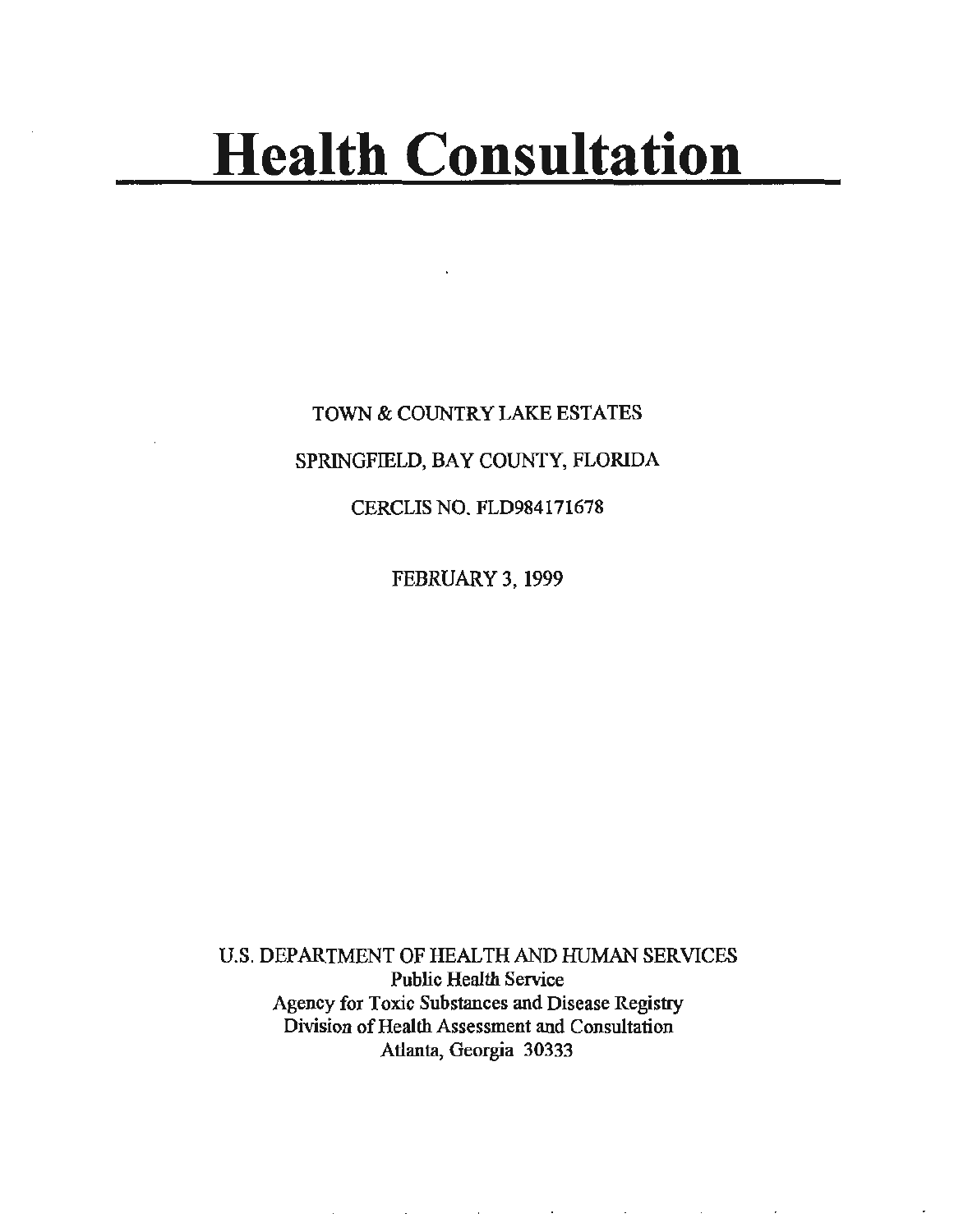# **Health Consultation**

TOWN & COUNTRY LAKE ESTATES SPRINGFIELD, BAY COUNTY, FLORIDA CERCLIS NO. FLD984171678

FEBRUARY 3, 1999

U.S. DEPARTMENT OF HEALTH AND HUMAN SERVICES Public Health Service Agency for Toxic Substances and Disease Registry Division of Health Assessment and Consultation Atlanta, Georgia 30333

the contract of the contract of the contract of the contract of the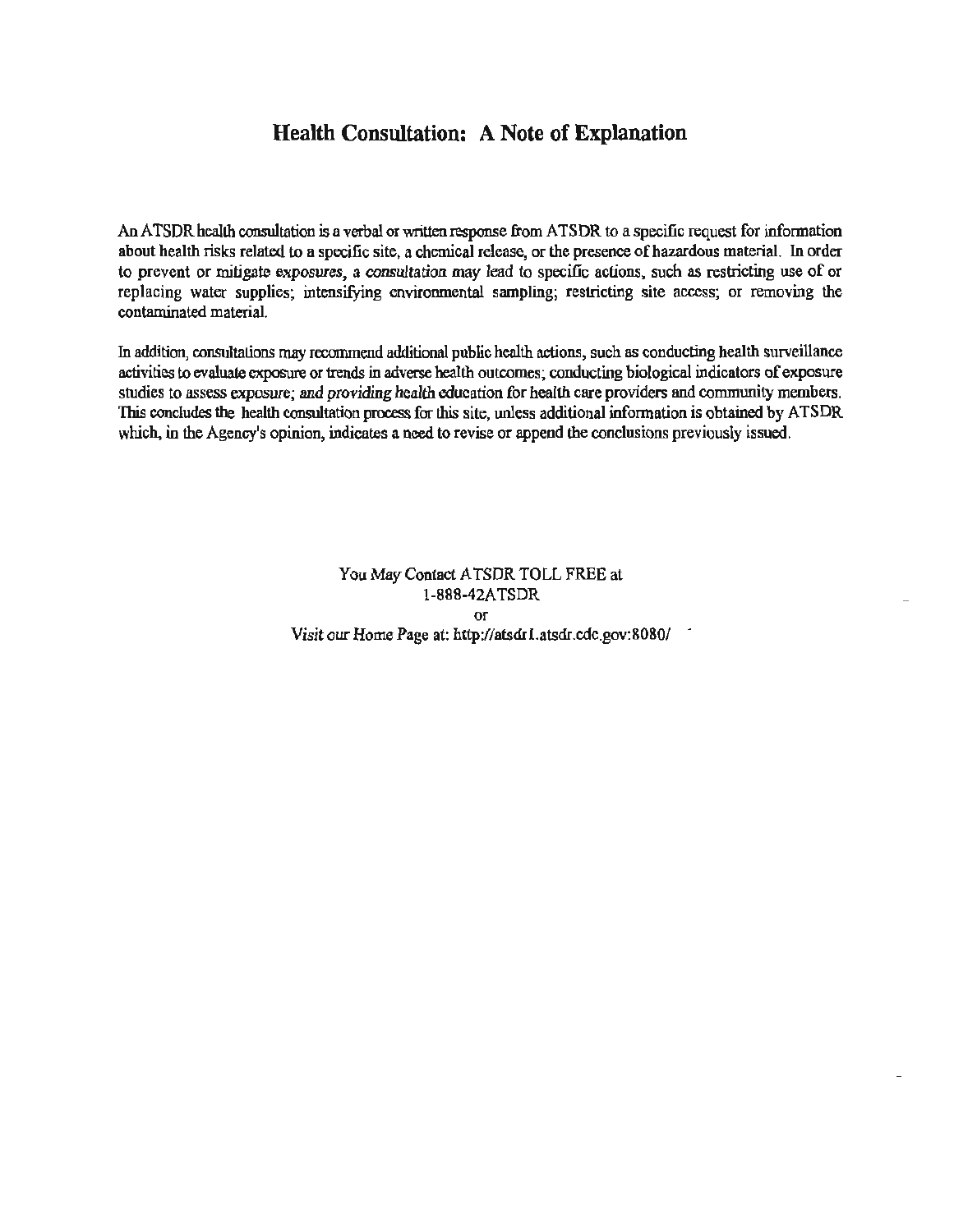# **Health Consultation: A Note of Explanation**

An ATSDR health consultation is a verbal or written response from ATSDR to a specific request for information about health risks related to a specific site, a chemical release, or the presence of hazardous material. In order to prevent or mitigate exposures, a consultation may lead to specific actions, such as restricting use of or replacing water supplies; intensifying environmental sampling; restricting site access; or removing the contaminated material.

In addition, consultations may recommend additional public health actions, such as conducting health surveillance activities to evaluate exposure or trends in adverse health outcomes; conducting biological indicators of exposure studies to assess exposure; and providing health education for health care providers and community members. This concludes the health consultation process for this site, unless additional information is obtained by A TSDR which, in the Agency's opinion, indicates a need to revise or append the conclusions previously issued.

> You May Contact A TSDR TOLL FREE at 1-888-42A TSDR or Visit our Home Page at: http://atsdrl.atsdr.cdc.gov:8080/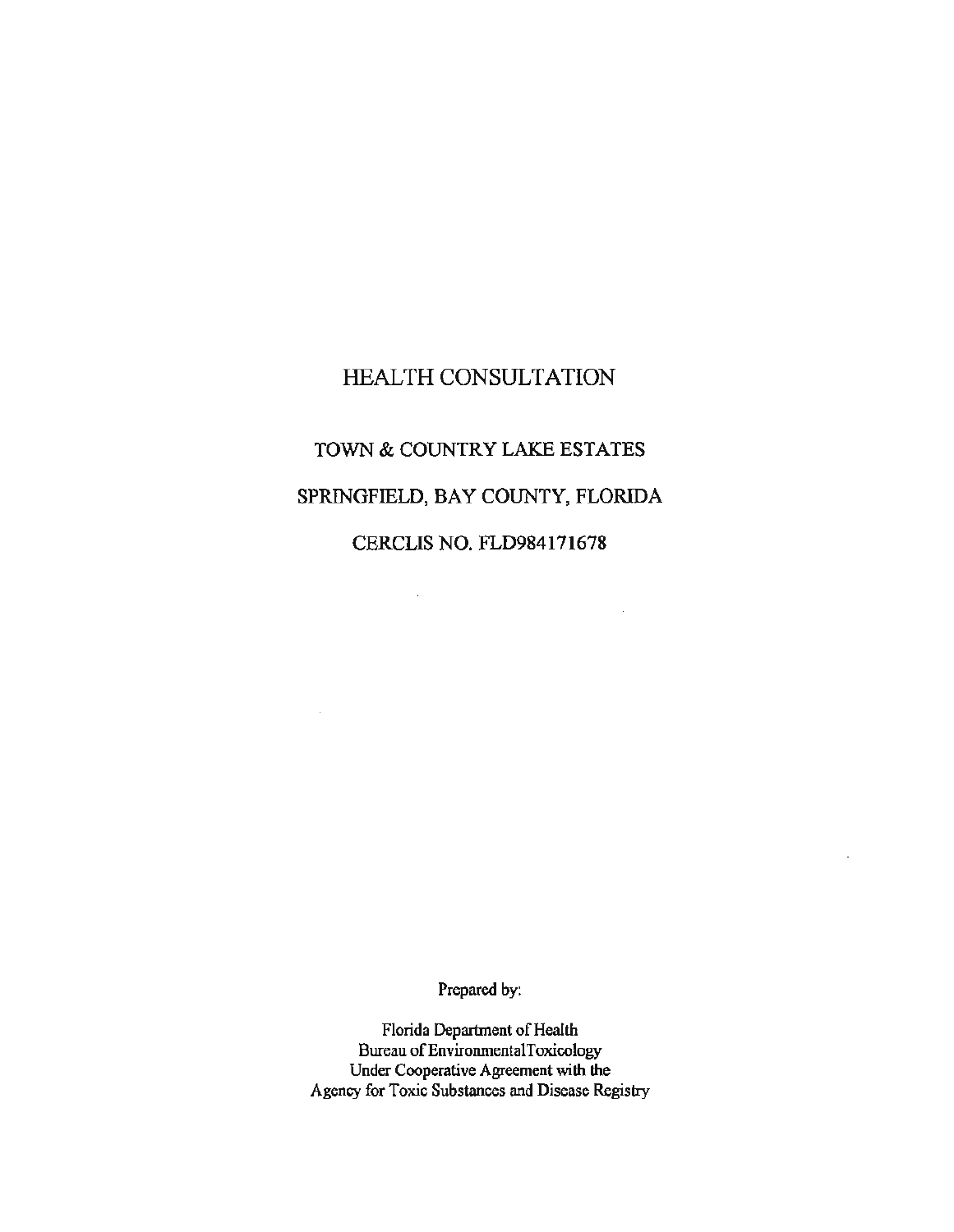# HEALTH CONSULTATION

# TOWN & COUNTRY LAKE ESTATES

# SPRINGFIELD, BAY COUNTY, FLORIDA

CERCLIS NO. FLD984171678

 $\sim 10^7$ 

 $\sim$ 

 $\sim 10^7$ 

Prepared by:

Florida Department of Health Bureau of EnvironmentalToxicology Under Cooperative Agreement with the Agency for Toxic Substances and Disease Registry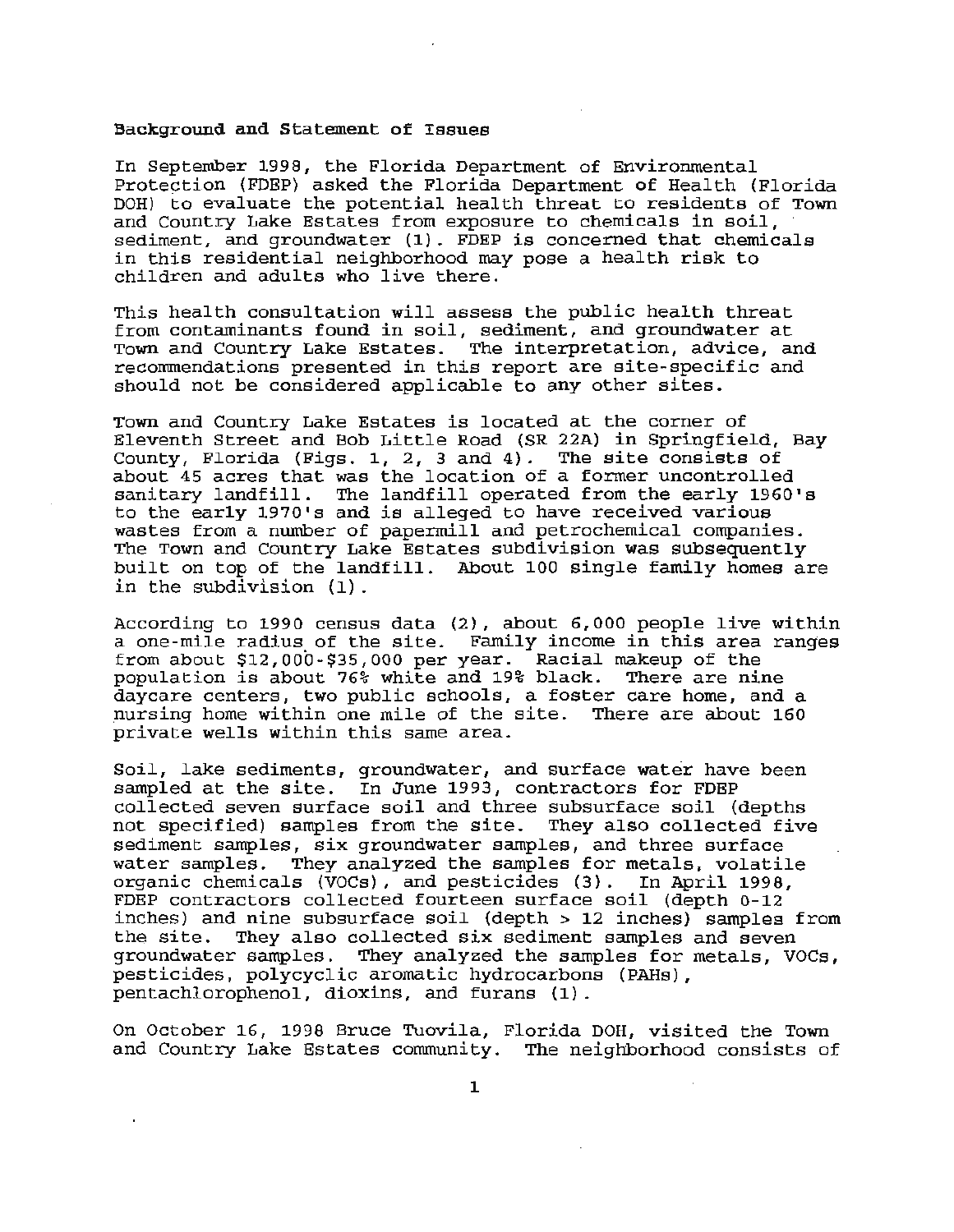#### Background and Statement of Issues

In September 1998, the Florida Department of Environmental Protection (FDEP) asked the Florida Department of Health (Florida DOH) to evaluate the potential health threat to residents of Town<br>and Country Lake Estates from exposure to chemicals in soil, sediment, and groundwater  $(1)$ . FDEP is concerned that chemicals in this residential neighborhood may pose a health risk to children and adults who live there.

This health consultation will assess the public health threat from contaminants found in soil, sediment, and groundwater at Town and Country Lake Estates. The interpretation, advice, and recommendations presented *in* this report are site-specific and should not be considered applicable to any other sites.

Town and Country Lake Estates *is* located at the corner of Eleventh Street and Bob Little Road (SR 22A) *in* Springfield, Bay County, Florida (Figs. 1, 2, 3 and 4). The site consists of about 45 acres that was the location of a former uncontrolled sanitary landfill. The landfill operated from the early 1960's to the early 1970's and is alleged to have received various wastes from a number of paperrnill and petrochemical companies. The Town and Country Lake Estates subdivision was subsequently built on top of the landfill. About 100 single family homes are in the subdivision (1) .

According to 1990 census data (2), about 6,000 people *live* within a one-mile radius of the site. Family income in this area ranges from about \$12,000-\$35,000 per year. Racial makeup of the population is about 76% white and 19% black. There are nine daycare centers, two public schools, a foster care home, and a nursing home within one mile of the site. There are about 160 private wells within this same area.

Soil, lake sediments, groundwater, and surface water have been sampled at the site. In June 1993, contractors for FDEP collected seven surface soil and three subsurface soil (depths not specified) samples from the site. They also collected five sediment samples, six groundwater samples, and three surface water samples. They analyzed the samples for metals, volatile organic chemicals (VOCs), and pesticides (3). In April 1998, FDEP contractors collected fourteen surface soil (depth 0-12 inches) and nine subsurface soil (depth > 12 inches) samples from the site. They also collected *six* sediment samples and seven groundwater samples. They analyzed the samples for metals, VOCs, pesticides, polycyclic aromatic hydrocarbons (PAHs), pentachlorophenol, dioxins, and furans {1).

On October 16, 1998 Bruce Tuovila, Florida DOH, visited the Town and Country Lake Estates community. The neighborhood consists of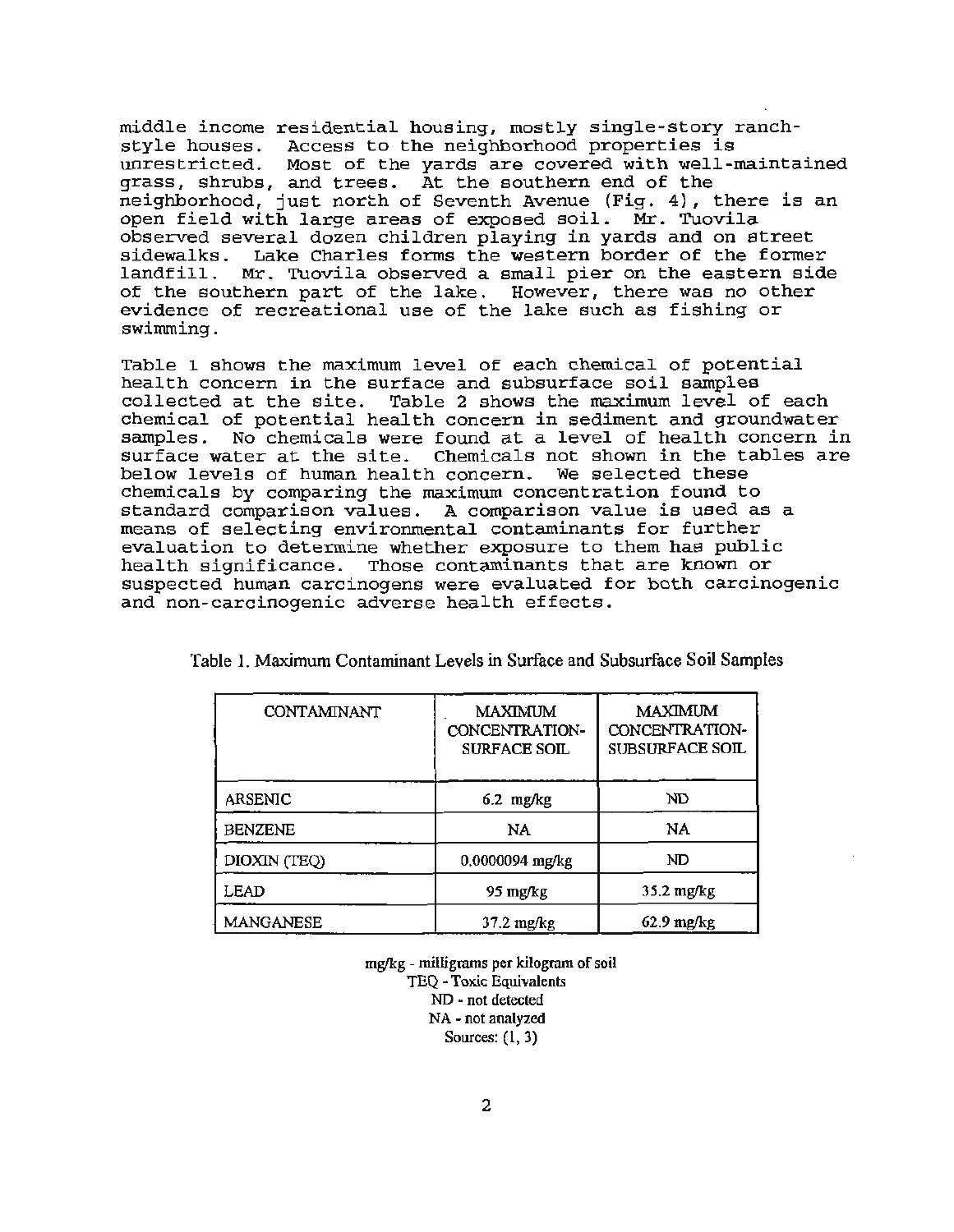middle income residential housing, mostly single-story ranchstyle houses. Access to the neighborhood properties is unrestricted. Most of the yards are covered with well-maintained grass, shrubs, and trees. At the southern end of the neighborhood, just north of Seventh Avenue (Fig. 4), there is an open field with large areas of exposed soil. Mr. Tuovila observed several dozen children playing in yards and on street sidewalks. Lake Charles forms the western border of the former landfill. Mr. Tuovila observed a small pier on the eastern side of the southern part of the lake. However, there was no other evidence of recreational use of the lake such as fishing or swimming.

Table 1 shows the maximum level of each chemical of potential health concern in the surface and subsurface soil samples collected at the site. Table 2 shows the maximum level of each chemical of potential health concern in sediment and groundwater samples. No chemicals were found at a level of health concern in surface water at the site. Chemicals not shown in the tables are below levels of human health concern. We selected these chemicals by comparing the maximum concentration found to standard comparison values. A comparison value is used as a means of selecting environmental contaminants for further evaluation to determine whether exposure to them has public health significance. Those contaminants that are known or suspected human carcinogens were evaluated for both carcinogenic and non-carcinogenic adverse health effects.

| CONTAMINANT    | <b>MAXIMUM</b><br>CONCENTRATION-<br><b>SURFACE SOIL</b> | <b>MAXIMUM</b><br>CONCENTRATION-<br><b>SUBSURFACE SOIL</b> |
|----------------|---------------------------------------------------------|------------------------------------------------------------|
| ARSENIC        | $6.2$ mg/kg                                             | ND                                                         |
| <b>BENZENE</b> | NA.                                                     | NA                                                         |
| DIOXIN (TEQ)   | 0.0000094 mg/kg                                         | ND                                                         |
| LEAD           | 95 mg/kg                                                | $35.2 \text{ mg/kg}$                                       |
| MANGANESE      | 37.2 mg/kg                                              | $62.9 \text{ mg/kg}$                                       |

Table 1. Maximum Contaminant Levels in Surface and Subsurface Soil Samples

mglkg - milligrams per kilogram of soil TEQ - Toxic Equivalents ND - not detected NA - not analyzed Sources: (l, 3)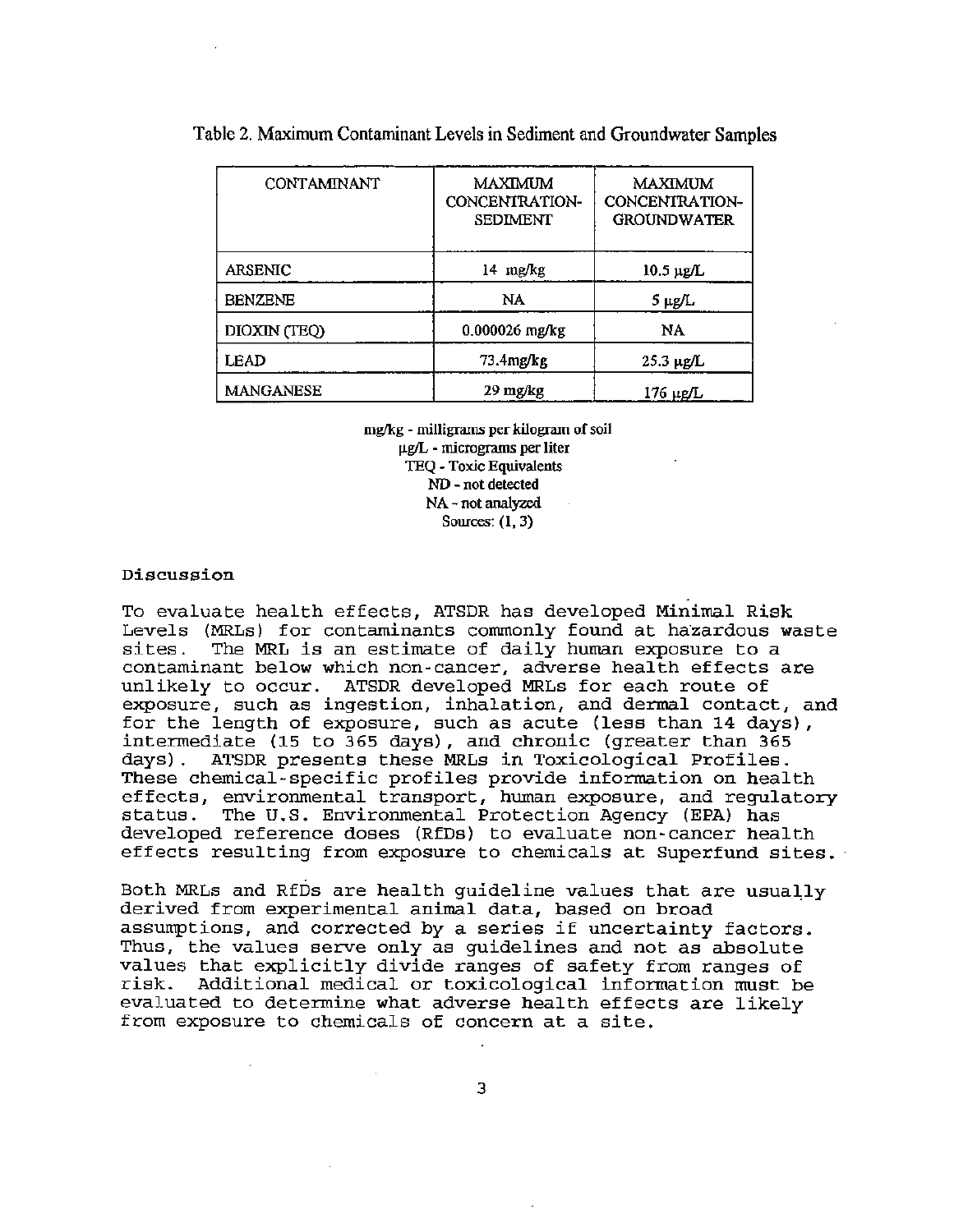| <b>CONTAMINANT</b> | MAXIMUM<br>CONCENTRATION-<br><b>SEDIMENT</b> | MAXIMUM<br>CONCENTRATION-<br><b>GROUNDWATER</b> |
|--------------------|----------------------------------------------|-------------------------------------------------|
| ARSENIC            | 14 mg/kg                                     | $10.5 \mu g/L$                                  |
| <b>BENZENE</b>     | NA                                           | 5 µg/L                                          |
| DIOXIN (TEQ)       | 0.000026 mg/kg                               | <b>NA</b>                                       |
| LEAD               | 73.4mg/kg                                    | $25.3 \mu$ g/L                                  |
| MANGANESE          | 29 mg/kg                                     | <u>176 μg/L</u>                                 |

Table 2. Maximum Contaminant Levels in Sediment and Groundwater Samples

mglkg - milligrams per kilogram of soil  $\mu$ g/L - micrograms per liter TEQ -Toxic Equivalents ND - not detected NA - not analyzed Sources:  $(1, 3)$ 

## Discussion

To evaluate health effects, ATSDR has developed Minimal Risk Levels (MRLs) for contaminants commonly found at hazardous waste<br>sites. The MRL is an estimate of daily human exposure to a The MRL is an estimate of daily human exposure to a contaminant below which non-cancer, adverse health effects are unlikely to occur. ATSDR developed MRLs for each route of exposure, such as ingestion, inhalation, and dermal contact, and for the length of exposure, such as acute (less than 14 days), intermediate {15 to 365 days), and chronic (greater than 365 days). ATSDR presents these MRLs in Toxicological Profiles. These chemical -specific profiles provide information on health effects, environmental transport, human exposure, and regulatory<br>status. The U.S. Environmental Protection Agency (EPA) has The U.S. Environmental Protection Agency (EPA) has developed reference doses (RfDs) to evaluate non-cancer health effects resulting from exposure to chemicals at Superfund sites.

Both MRLs and RfDs are health guideline values that are usually derived from experimental animal data, based on broad assumptions, and corrected by a series if uncertainty factors. Thus, the values serve only as guidelines and not as absolute values that explicitly divide ranges of safety from ranges of risk. Additional medical or toxicological information must be evaluated to determine what adverse health effects are likely from exposure to chemicals of concern at a site.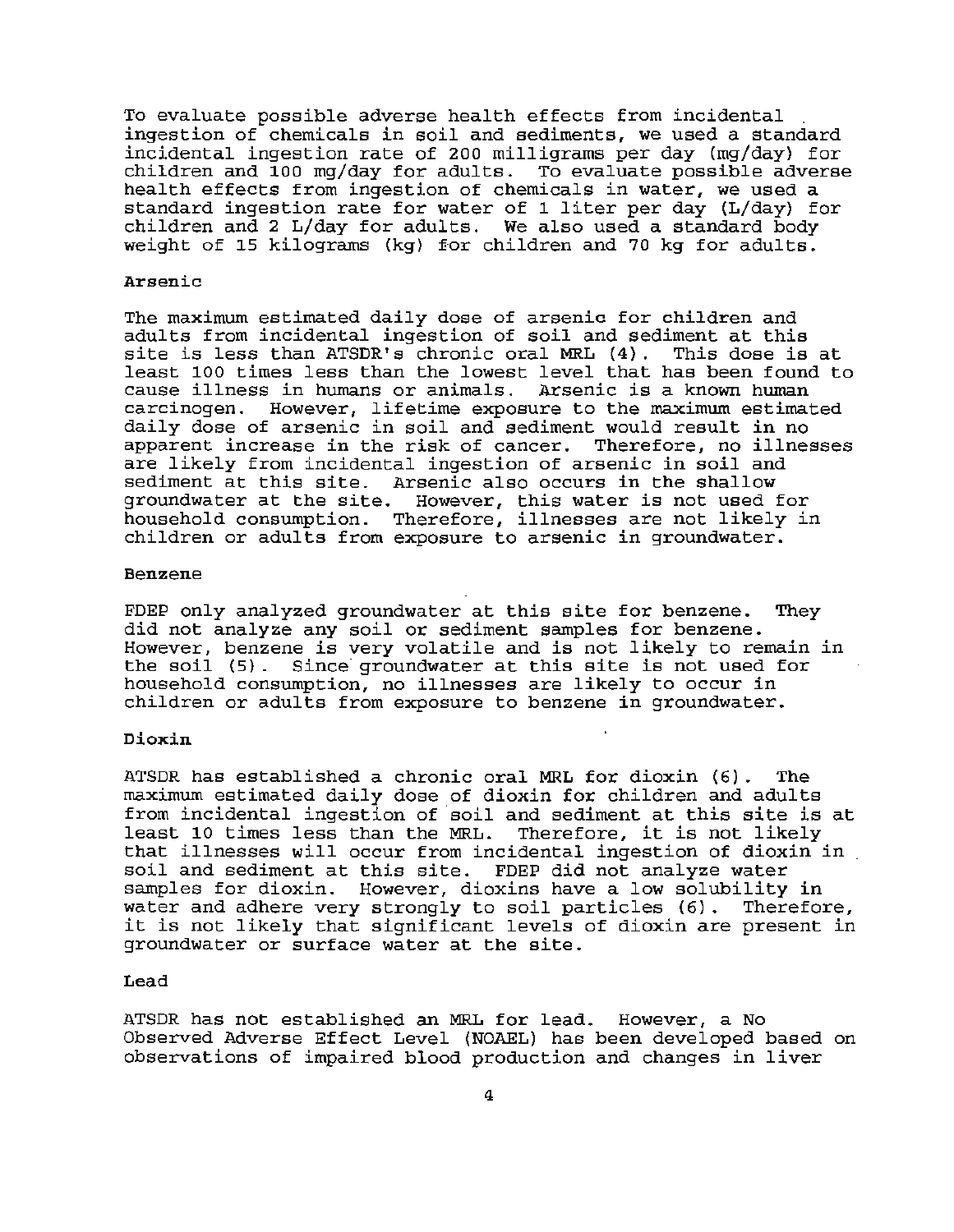To evaluate possible adverse health effects from incidental .<br>ingestion of chemicals in soil and sediments, we used a standard incidental ingestion rate of 200 milligrams per day (mg/day} for  $children$  and  $100$  mg/day for adults. To evaluate possible adverse health effects from ingestion of chemicals in water, we used a standard ingestion rate for water of 1 liter per day (L/day} for children and 2 L/day for adults. We also used a standard body weight of 15 kilograms (kg) for children and 70 kg for adults.

### Arsenic

The maximum estimated daily dose of arsenic for children and adults from incidental ingestion of soil and sediment at this<br>site is less than ATSDR's chronic oral MRL (4). This dose is at site is less than ATSDR's chronic oral MRL (4). least 100 times less than the lowest level that has been found to cause illness in humans or animals. Arsenic is a known human carcinogen. However, lifetime exposure to the maximum estimated daily dose of arsenic in soil and sediment would result in no apparent increase in the risk of cancer. Therefore, no illnesses are likely from incidental ingestion of arsenic in soil and sediment at this site. Arsenic also occurs in the shallow groundwater at the site. However, this water is not used for household consumption. Therefore, illnesses are not likely in children or adults from exposure to arsenic in groundwater.

## Benzene

FDEP only analyzed groundwater at this site for benzene. They did not analyze any soil or sediment samples for benzene. However, benzene is very volatile and is not likely to remain in the soil (5). Since groundwater at this site is not used for household consumption, no illnesses are likely to occur in children or adults from exposure to benzene in groundwater.

## Dioxin

ATSDR has established a chronic oral MRL for dioxin (6}. The maximum estimated daily dose of dioxin for children and adults maximum estimated daily dose of dioxin for enfliciten and addits<br>from incidental ingestion of soil and sediment at this site is at least 10 times less than the MRL. Therefore, it is not likely<br>that illnesses will occur from incidental ingestion of dioxin in soil and sediment at this site. FDEP did not analyze water samples for dioxin. However, dioxins have a low solubility in water and adhere very strongly to soil particles (6). Therefore, it is not likely that significant levels of dioxin are present in groundwater or surface water at the site.

#### Lead

ATSDR has not established an MRL for lead. However, a No Observed Adverse Effect Level (NOAEL) has been developed based on observations of impaired blood production and changes in liver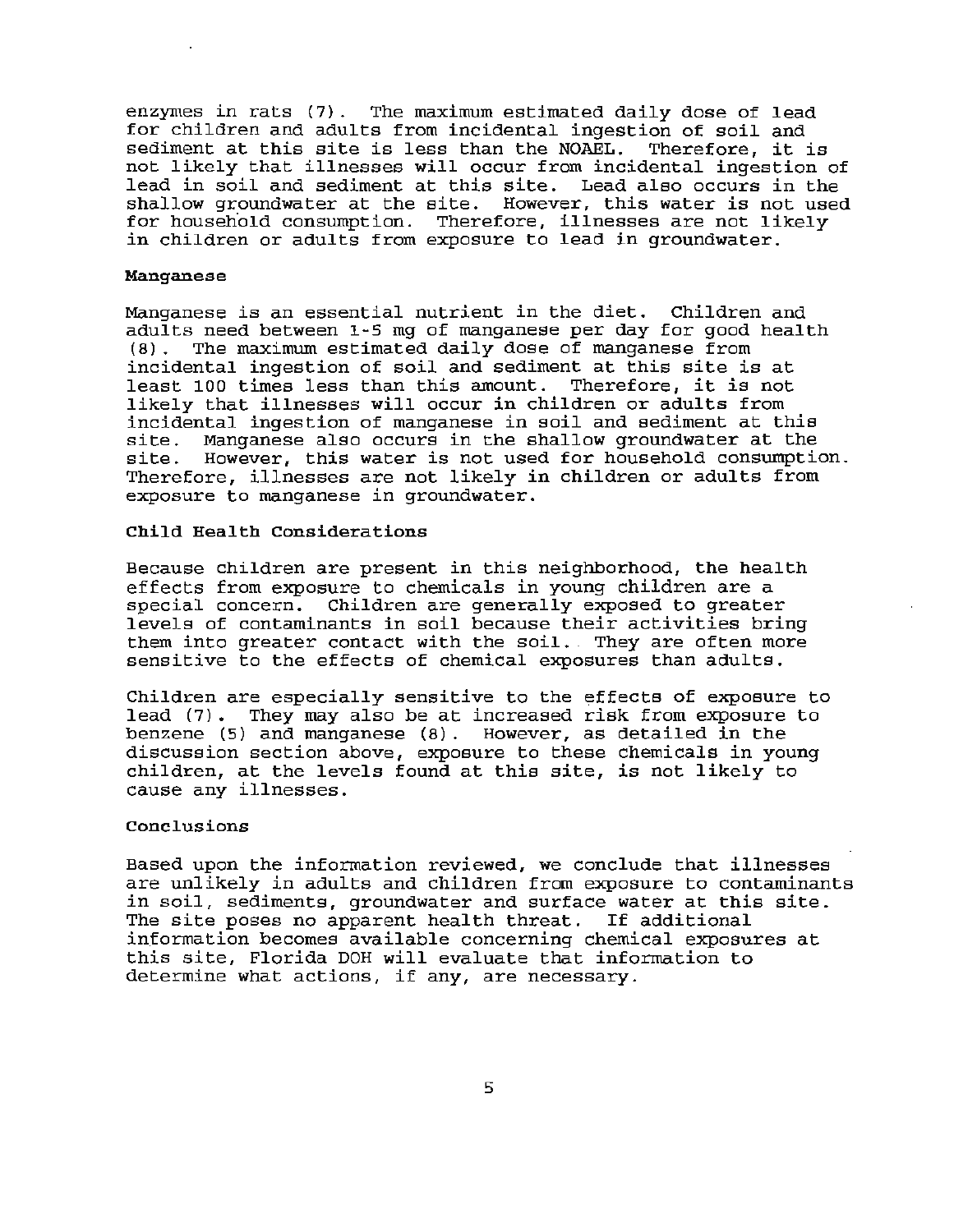enzymes in rats (7). The maximum estimated daily dose of lead for children and adults from incidental ingestion of soil and sediment at this site is less than the NOAEL. Therefore, it is not likely that illnesses will occur from incidental ingestion of lead in soil and sediment at this site. Lead also occurs in the shallow groundwater at the site. However, this water is not used for household consumption. Therefore, illnesses are not likely in children or adults from exposure to lead in groundwater.

#### Manganese

Manganese is an essential nutrient in the diet. Children and adults need between 1-5 mg of manganese per day for good health (8) . The maximum estimated daily dose of manganese from incidental ingestion of soil and sediment at this site is at least 100 times less than this amount. Therefore, it is not likely that illnesses will occur in children or adults from incidental ingestion of manganese in soil and sediment at this site. Manganese also occurs in the shallow groundwater at the site. However, this water is not used for household consumption. Therefore, illnesses are not likely in children or adults from exposure to manganese in groundwater.

## Child Health Considerations

Because children are present in this neighborhood, the health effects from exposure to chemicals in young children are a special concern. Children are generally exposed to greater levels of contaminants in soil because their activities bring them into greater contact with the soil. They are often more sensitive to the effects of chemical exposures than adults.

Children are especially sensitive to the effects of exposure to lead (7). They may also be at increased risk from exposure to benzene (5) and manganese (8). However, as detailed in the discussion section above, exposure to these chemicals in young children, at the levels found at this site, is not likely to cause any illnesses.

## Conclusions

Based upon the information reviewed, we conclude that illnesses are unlikely in adults and children from exposure to contaminants in soil, sediments, groundwater and surface water at this site. The site poses no apparent health threat. If additional intormation becomes available concerning chemical exposures at this site, Florida DOH will evaluate that information to determine what actions, if any, are necessary.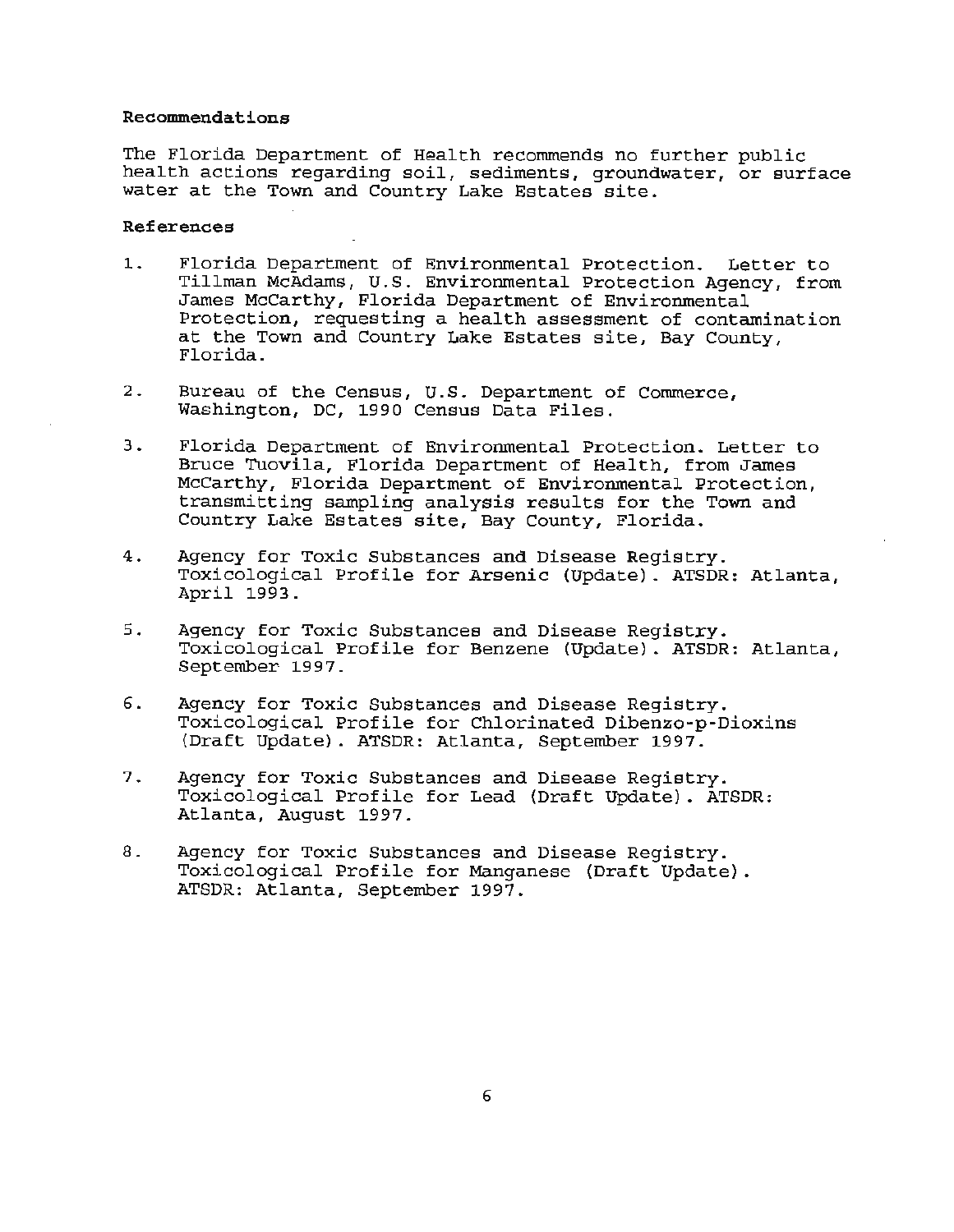#### Recommendations

The Florida Department of Health recommends no further public health actions regarding soil, sediments, groundwater, or surface water at the Town and Country Lake Estates site.

#### References

- 1. Florida Department of Environmental Protection. Letter to Tillman McAdams, U.S. Environmental Protection Agency, from James McCarthy, Florida Department of Environmental Protection, requesting a health assessment of contamination at the Town and Country Lake Estates site, Bay County, Florida.
- 2. Bureau of the Census, U.S. Department of Commerce, Washington, DC, 1990 Census Data Files.
- 3. Florida Department of Environmental Protection. Letter to Bruce Tuovila, Florida Department of Health, from James McCarthy, Florida Department of Environmental Protection, transmitting sampling analysis results for the Town and Country Lake Estates site, Bay County, Florida.
- 4. Agency for Toxic Substances and Disease Registry. Toxicological Profile for Arsenic (Update) . ATSDR: Atlanta, April 1993.
- 5. Agency for Toxic Substances and Disease Registry. Toxicological Profile for Benzene (Update). ATSDR: Atlanta, September 1997.
- 6. Agency for Toxic Substances and Disease Registry. Toxicological Profile for Chlorinated Dibenzo-p-Dioxins (Draft Update). ATSDR: Atlanta, September 1997.
- 7. Agency for Toxic Substances and Disease Registry. Toxicological Profile for Lead (Draft Update) . ATSDR: Atlanta, August 1997.
- 8. Agency for Toxic Substances and Disease Registry. Toxicological Profile for Manganese (Draft Update) . ATSDR: Atlanta, September 1997.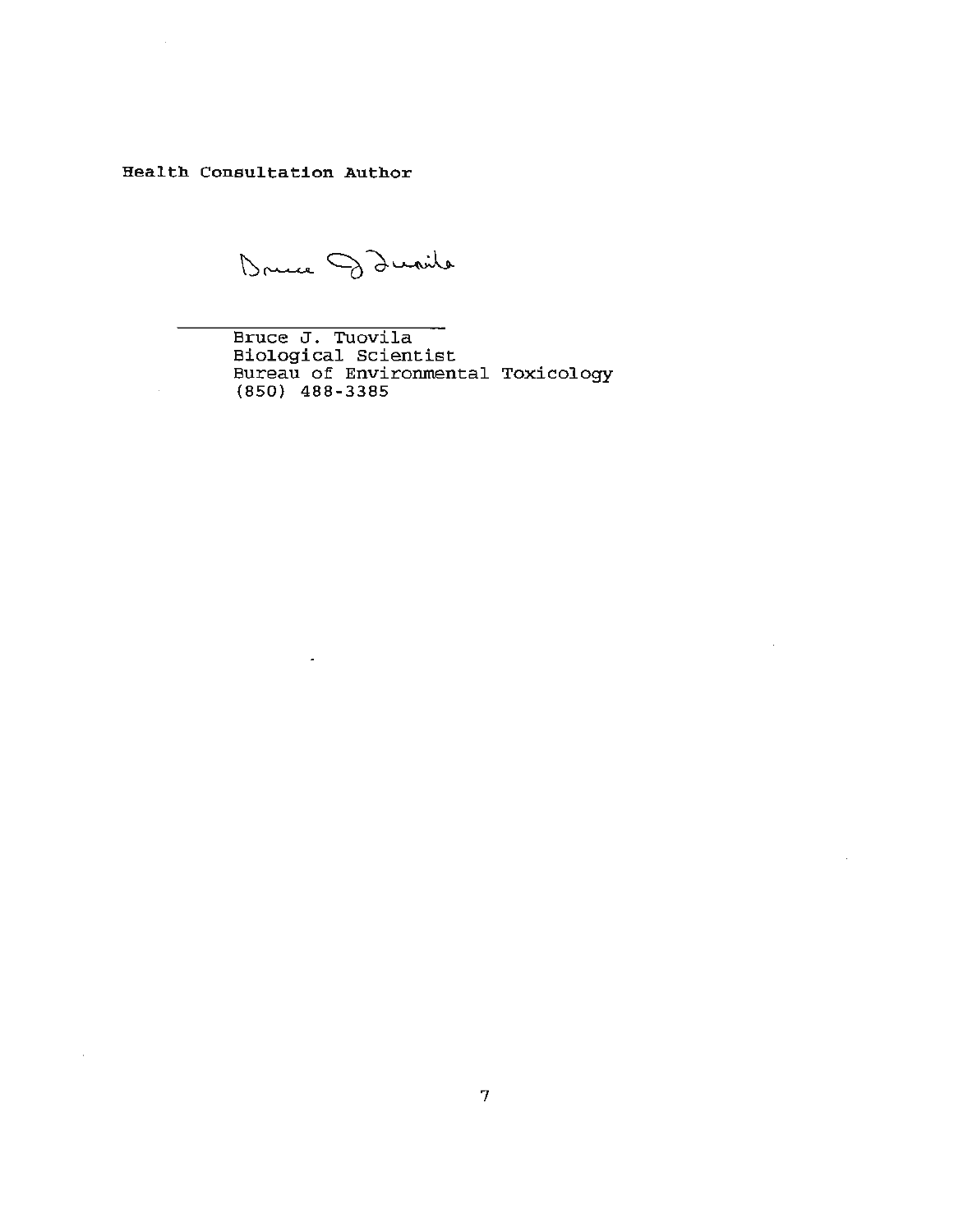Health Consultation Author

Druce Danile

Bruce J. Tuovila Biological Scientist Bureau of Environmental Toxicology (850) 488 - 3385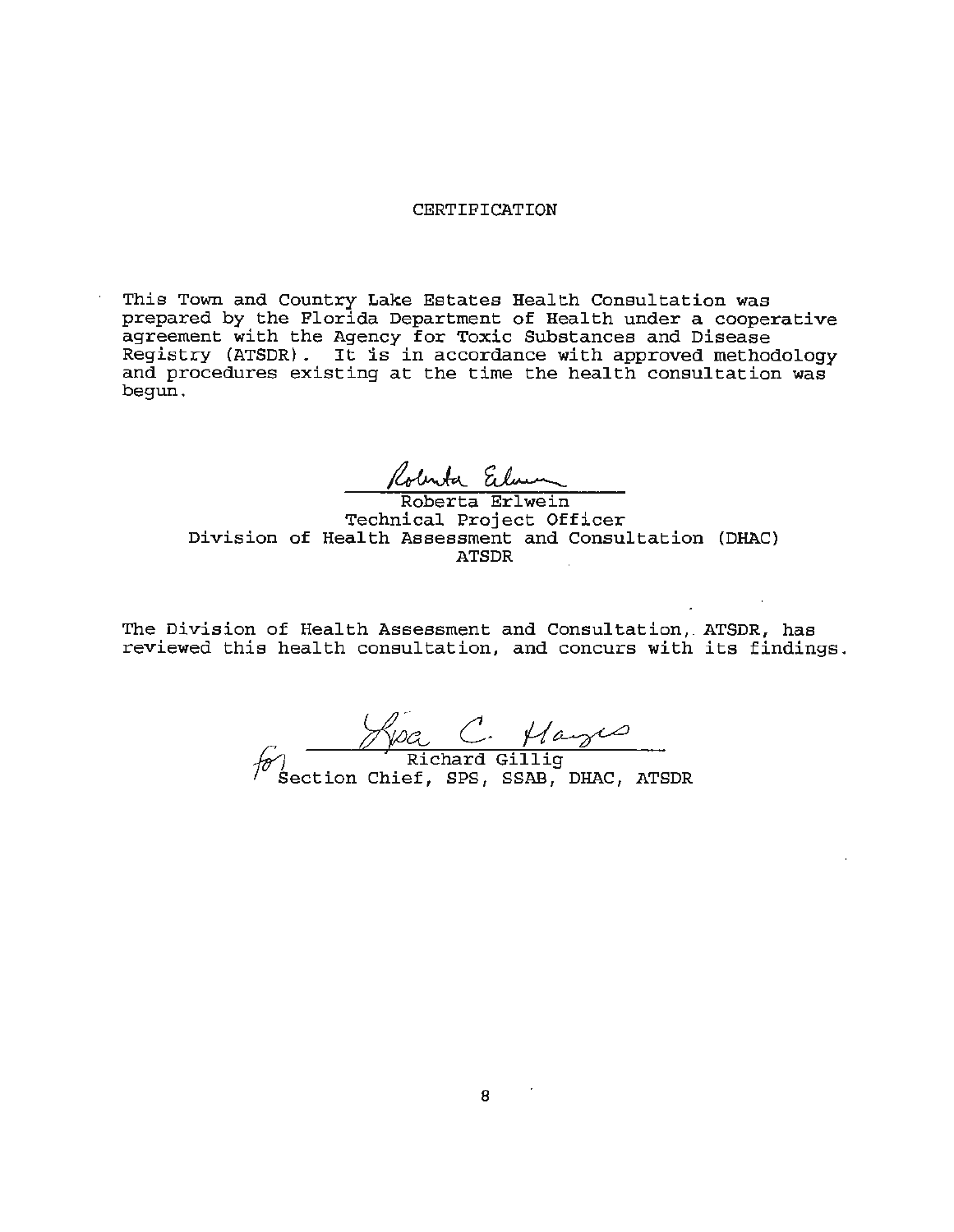#### CERTIFICATION

This Town and Country Lake Estates Health Consultation was prepared by the Florida Department of Health under a cooperative agreement with the Agency for Toxic Substances and Disease Registry (ATSDR) . It is in accordance with approved methodology and procedures existing at the time the health consultation was begun.

Roberta Erlun

Technical Project Officer Division of Health Assessment and Consultation (DHAC) ATSDR

The Division of Health Assessment and Consultation, ATSDR, has reviewed this health consultation, and concurs with its findings.

 $\frac{\sqrt{\pi C}}{\pi \text{ichard Gillig}}$ Section Chief, SPS, SSAB, DHAC, ATSDR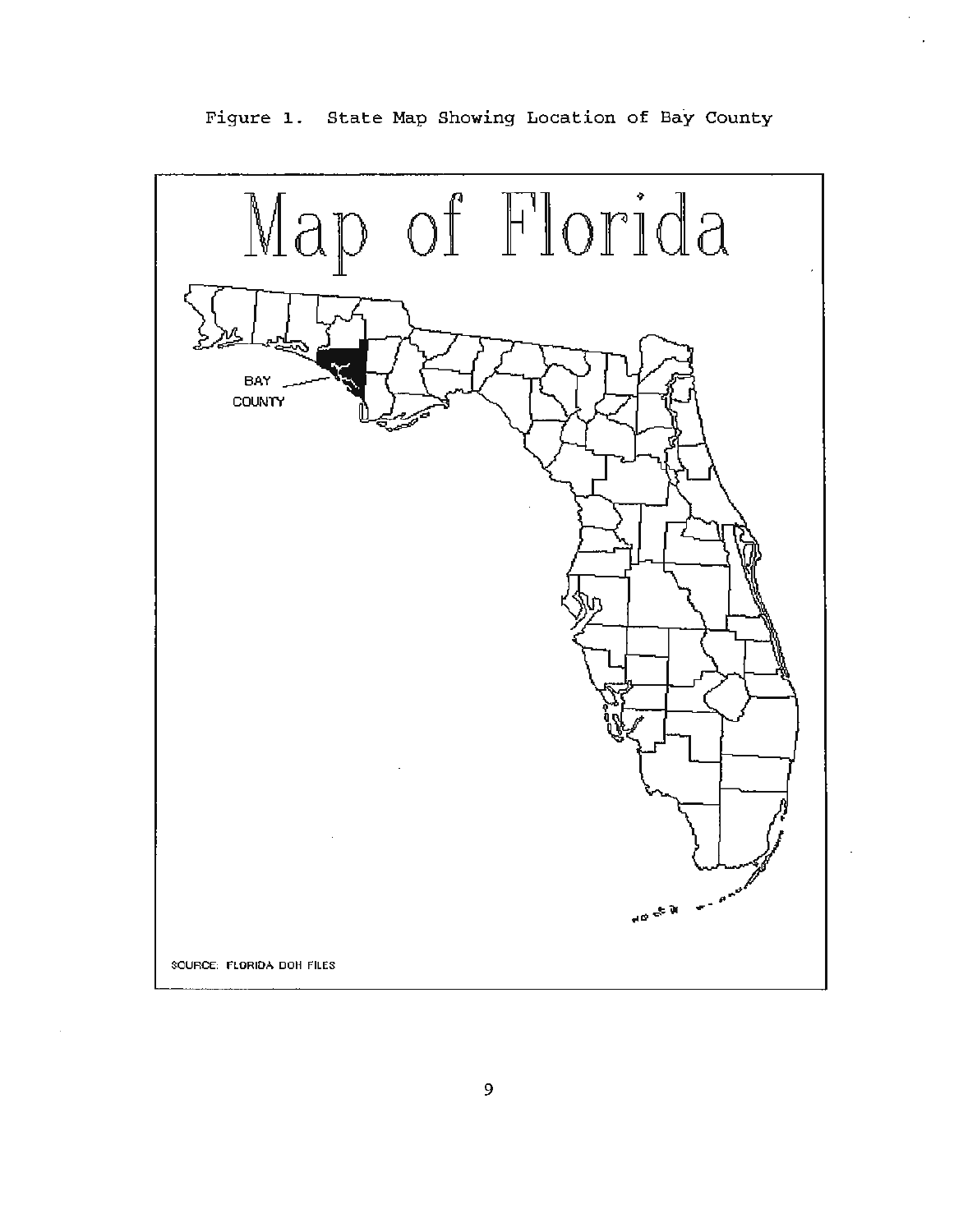

Figure 1. State Map Showing Location of Bay County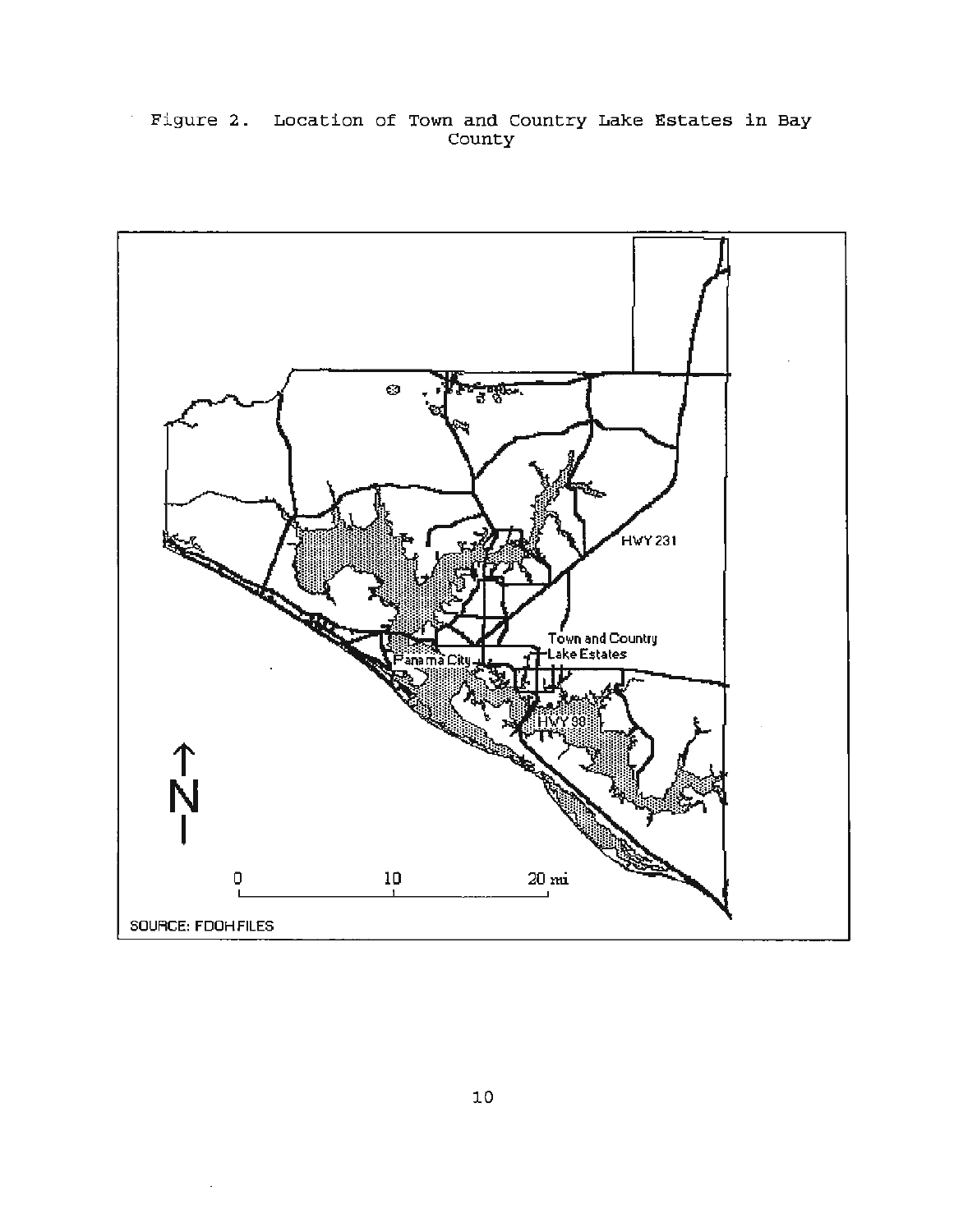# Figure 2. Location of Town and Country Lake Estates in Bay County

 $\epsilon$ 

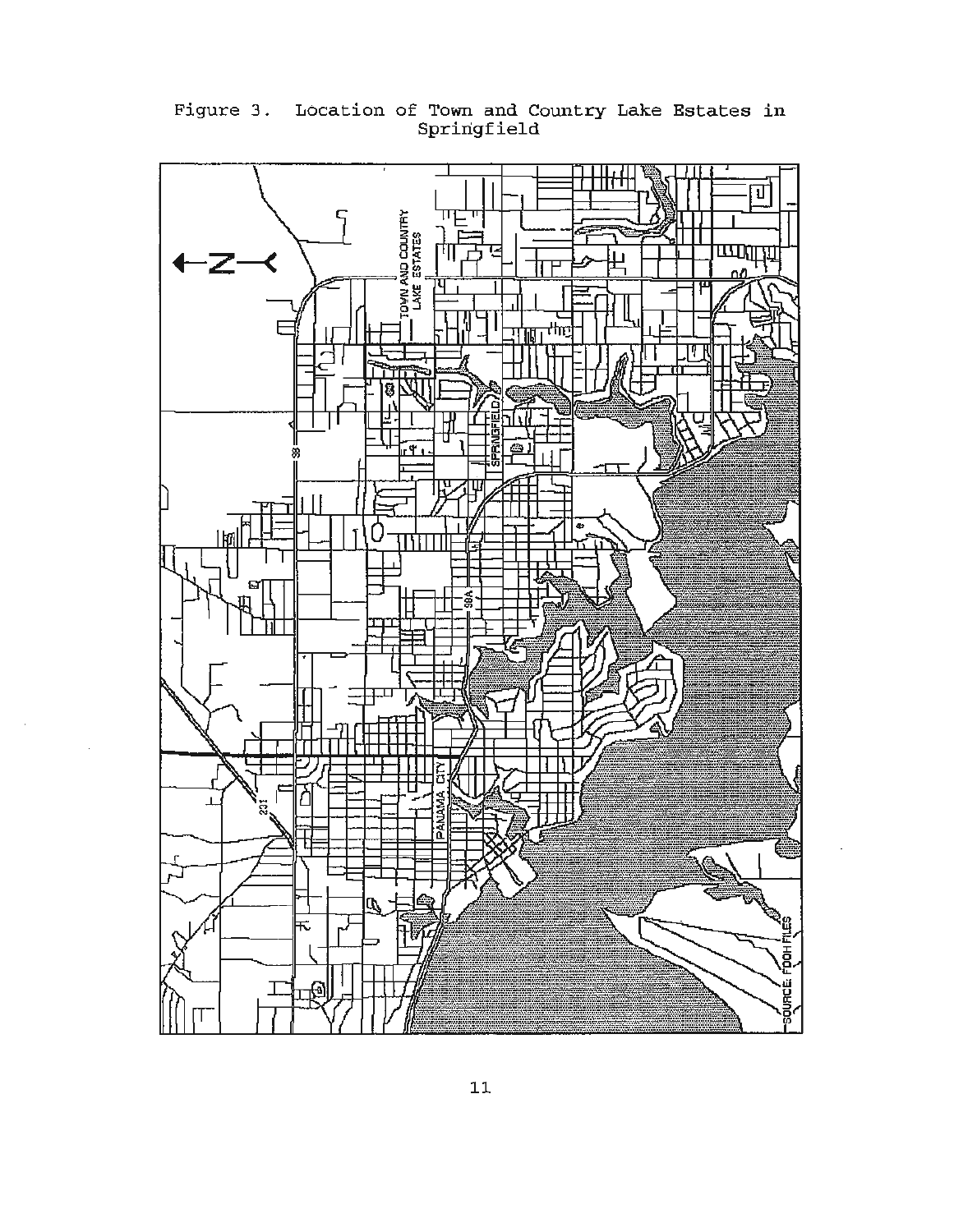

Figure 3. Location of Town and Country Lake Estates in Springfield